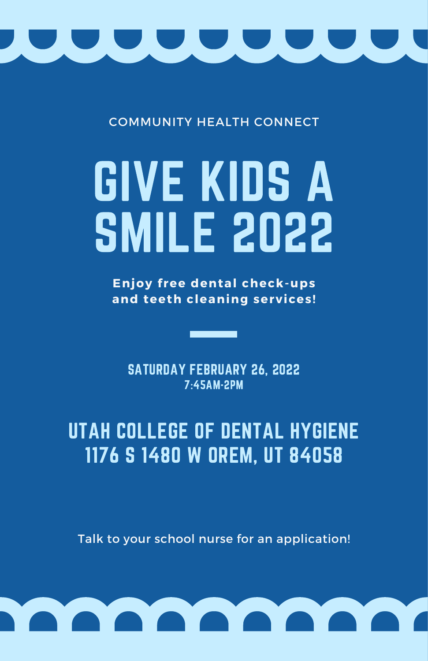

COMMUNITY HEALTH CONNECT

## GIVE KIDS A SMILE 2022

**Enjoy f ree dental check-ups and teeth cleaning services!**

SATURDAY FEBRUARY 26, 2022 7:45AM-2PM

UTAH COLLEGE OF DENTAL HYGIENE 1176 S 1480 W OREM, UT 84058

Talk to your school nurse for an application!